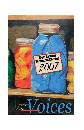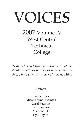# VOICE*S*

2007 Volume IV West Central Technical College

*"I think," said Christopher Robin, "that we should eat all our provisions now, so that we shan't have so much to carry." - A.A. Milne*

Editors:

Jennifer Jiles Alison Payne, *Emeritus*  Carol Pearson Pam Sanders Alice Steimle Kyle Taylor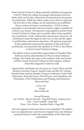West Central Technical College annually publishes its magazine, *VOICES*. While the college encourages submissions from students, staff, and faculty, submission of material does not guarantee publication. While the editors make every effort to represent the diversity of the college, not all submissions are published

due to content and space considerations. *VOICES* retains copyrights to all materials and non-exclusive rights to publish all works in any format. All material is copyrighted to protect West Central Technical College and to exclude others from republishing contributors' works without their permissions. However, all contributors retain the rights to their own works and the rights to publish their submissions elsewhere. All opinions expressed in this publication represent the opinions of the individual contributors, not necessarily the opinions of *VOICES*, the editors, or West Central Technical College.

The editors wish to extend their appreciation to President Skip Sullivan and the administration of West Central Technical College. Our thanks also goes to the students, staff, and faculty of West Central Technical College for their support, without which this magazine would not exist.

Appreciation and thanks are also given to: Linsey Dixon and the Student Activities Council, Angela Foster and the WC Update, Wanda Foster and the Murphy Campus Conference Center Staff, Debra Jeter, Sindi McGowan, David Payne, Amy Steadham, Jim Winchester, UWG Publications and Printing, and Someone's Mom and Dad.

> Cover Art: *Pickled*  Shevon Rowell

Award Winners: Art -*Pickled* - Shevon Rowell – Page #53 Poetry -*Judging Giant Hats* - Carol Canfield - Page #29 Prose -*Train Station* - Jennifer Parris - Page #30

All work appears in the exact form it was submitted. The editors have not adjusted any work from its original form; any brilliance contained herein is solely the responsibility of the individual contributors.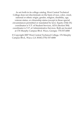As set forth in its college catalog, West Central Technical College does not discriminate on the basis of race, color, creed, national or ethnic origin, gender, religion, disability, age, veteran status, or citizenship status (except in those special circumstances permitted or mandated by law). Equity (Title IX) coordinator is V.P. of Student Services, ADA (Section 504) coordinator is V.P. of Administrative Services. Both are located at 176 Murphy Campus Blvd. Waco, Georgia- 770.537.6000

© Copyright 2007 West Central Technical College, 176 Murphy Campus Blvd., Waco, GA 30182 (770) 537-6000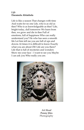# *Life* **Daramola Abimbola**

Life is like a season That changes with time And waits for no one Life, who is as old as thee? Who is as knowledgeable as thee? Life, bright today, dull tomorrow We learn from thee, we grow and die in thee Full of emotions, full of happiness Who can really understand you? He who has seen a smooth life Let him tell me you are full of ups and downs At times it is difficult to know Exactly what you are about Oh! Life are you there? Life that is full of mysteries and wonders Show me your face – I want to see you Maybe I can ask you Who really you are.



*Art Head*  **Penny Jiles**  Photography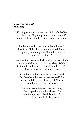#### *The Least of the Earth*  **John Ridley**

Floating soft, on foaming crest, Soft, light bodies take their rest. Night appears, the water dark, On annals of time, simple creatures, make no mark.

Numberless and spread throughout the world, Free from flight, their wings are furled. But do they sleep, or merely rest, Upon their watery and transient nest?

As voracious creatures lurk, within the deep, Both scaled and skinned, but do they sleep? While feathered kin float above, invisibly tethered, For birds of a feather, flock together.

Should one of their number become a meal, Do the others that are left, sorrow feel? For no funeral dirge, or bells do peal. Nor in sacred places, mourners kneel.

But even to the least of these we know, Heed is paid to those here below. For even the sparrow, his fall is noted, As in the Holy Book 'tis truly quoted.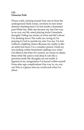# *Life* **Dameian Polk**

Prison walls, echoing sounds Fear sets in from the underground Dark rooms, nowhere to turn Inner demons chanting burn I'm lost inside a demented past White lies, little sins became my last One way in no way out My mind playing tricks Unrealistic thoughts Telling me stories of what real life's about I'm shutting down The walls are caving in I'm praying to God to punish my sins You see, I'm lost without a fighting chance Because my reality is like an artist free-lance I'm a complex person I hold my true feeling within Sometimes spilling over when I'm filled to the brim No corners, no cracks to obtain these strife My pain is real deep It cuts like a precision knife My thoughts are not truths A figment of my imagination I'm bound within myself From alter ago complications One way in, no way out This is a glance into my world and what I'm about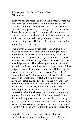#### *A Journey for the Not So Faint of Heart* **Alicia Milner**

Everyone has the means to live in the moment. There are only a few people in this world who have the gift to capture that moment and share it with others. Annie Dillard's descriptive essay, "Living Like Weasels," takes the reader on a journey from a physical place to an abstract destination where instinct takes precedence over choice. An unexpected voyage into the recesses of a weasel's being shows Dillard a place where living in the moment is the only living.

This journey begins in a very real place. Dillard's raw description portrays a pond popular among the locals, humans and creatures alike: "Under every bush is a muskrat hole or a beer can"(165). The author's contrast between man and nature signifies a delicate balance that must be preserved. This balance gives way to pure and natural experiences enabling man the opportunity of those poignant moments found only in nature. Dillard uses her sojourn as an escape from the everyday. She writes, "I come to Hollins Pond not so much to learn how to live as, frankly, to forget about it" (166). It is in this rather meditative state that she first encounters a weasel. Her detailed description leads the reader to believe she is within feet, if not inches, of the animal. Instead of retreating from this varmint typically known for its aggressive behavior, she stays her ground, living in the moment. For an instant, Dillard and the weasel connect. She sees through its eyes with an unanticipated clarity: "He had two black eyes I did not see, any more than you see a window"(165). With this connection the journey continues away from the pond and into the unknown, or the forgotten.

Dillard's states her intention for visiting the pond as a way "to learn, or remember, how to live"(166). Since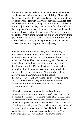this passage may be a reference to an unpleasant situation or simply a desire to improve on the art of living, Dillard gives the reader the ability to relate to and apply the intention to any aspect of living. Through the eyes of the weasel, Dillard sees the purest form of living, "the purity of living in the physical senses[…]" (166). By analyzing Dillard's thoughts while in the company of the weasel, the reader can better understand her idea of living in the physical senses. What are Dillard's thoughts? What is going through her brain? She answers these questions with a rhetorical one: "Can I help it if it was blank?" (166). The blank mind, being a prerequisite for instinct to surface, has become the portal for this journey.

Journeys take time, time to plan, time to venture, and time to return. However, Dillard's description of an instinctive journey does not take into consideration the restraints of time. Her chance meeting with the weasel lasts only seconds; however, it makes an impact with timeless boundaries. Dillard has found a way to describe instinct so that all sense of occasion is alleviated. She conveys this feeling by stating, "Time and events are merely poured, unremarked, and ingested directly[...]"(166). Dillard's desire to live "open to time and death painlessly"(166) provides an avenue to experience moments where actions of the past or aspirations of influence.

Although the complex human mind feeds and grows on moments past, present, and future, Dillard's essay suggests to the reader that the soul feeds on the purest of moments. These are the moments not bound by time or choice. Some of these moments happen by chance. Others, however, must be pursued: "The thing is to stalk your calling…to locate the most tender and live spot and plug into that pulse"(166). Dillard implores the reader "to grasp your one necessity and not let it go"(167). Surrendering in this way can lead to an embarkment of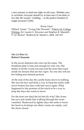a new journey or shed new light on old ways. Whether new, or revisited, everyone should try at least once if not daily to live like the weasel, "yielding… to the perfect freedom of single necessity"(166).

#### Work Cited

Dillard, Annie. "Living Like Weasels". Patters for College Writing. Ed. Laurie G. Kirszner and Stephen R. Mandell. 9<sup>th</sup> ed. Boston" Bedford/St. Martin's, 2004. 165-167.

#### *She Let Him Go*  **Robert Clemente**

In the secret darkness she cries out his name. The breakfast plate is lean and enough for only one. She thinks of all the words not said and the arms that reach inside for dreams that are but vapor. No one else will see her hiding tear-stained pictures.

At the end of the day the candle bums down to nothing. She sees his face and finds a way to keep her mind, faith never broken but days with him never again. What happened to the promise of the touch to be a way to keep the days-she wants to know.

For the tears not shed she let him fly-why? She closes her eyes and smells him walking through the roomvanished. Shadowed by lighter days she seeks to know her heart as footsteps are silent, rooms are empty, and the doors closed.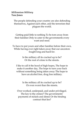#### *Millennium Military* **Tara Jones**

The people defending your country are also defending themselves, Against each other, and the terrorism that plagues the world.

Getting paid little to nothing To be torn away from their families Only to cater to the governments every want and need.

To have to put yours and other families before their own, While having ever right taken away that our ancestors fought long and hard for.

> Is the military all its cracked up to be? Or the root of crime in the streets.

I like to call it the hood of high hopes, The hope to make it another day, The hope to turn your back without something being taken away The hope to have an alcohol free, drug free military.

> Is the military all its cracked up to be? Or even worst than the streets.

Over worked, underpaid, and under privileged. The key to the crimes? The governments' payments of nickels and dimes Or the binding contract that lies?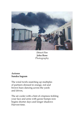

*Direct Fire* **John Rose**  Photography

## *Autumn* **Sandra Ingram**

The wind twirls snatching up multiples of partners dressed in orange, red and brown hues dancing across the yards and drives,

The air cooler with a hint of crispness tickling your face and arms with goose bumps now begins shorter days and longer shadows Harvest time.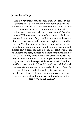#### **Jessica Lynn Harper**

This is a day many of us thought wouldn't come in our generation A day that would once again awaken the tragedies of war As our Twin Towers fell we stood in awe as a nation As we take a moment to swallow this information, we can't help but to wonder will there be more? Will those we love be safe and sound? Will our nation firmly stand it's ground? As we look at the ruble that is surreal We wonder how this tragic even could be so real We show our respect and fly our patriotism We deeply appreciate the police and firefighter, doctors and nurses, and citizens for their heroism We can't even begin to imagine the pain, the fear and anger that those families feel. We can only hope that we can offer our hearts and prayer to help them heal. We are appalled by the fact that any human could be responsible for such a sin. Yet this is terrifying deep within. When War and people killed is all we hear We are told we have to resist chaos and fear We are all human and all have frights Now we have nightmares of war that cloud our nights. We as teenagers have a lack of sleep For our fear and questions lie too deep/ WE ARE SCARED!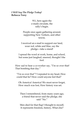#### *I Will Say The Pledge Today!*  **Rebecca Terry**

911, here again the e-mails circulate, the rally's begin.

People once again gathering around, supporting New Yorkers, and other towns.

I received an e-mail to support our land, wear red, white and blue, say the pledge—take a stand!

I spread the word at work, home, and school, but some just laughed, sneered, thought I the fool.

How sad to hear a co-worker say, "I'm so over that! That bombing that day."

"I'm so over that"? I repeated in my head, How could that be? How could anyone feel that?

Oh America! America! We must never forget, How much was lost, How history was set.

Then I remembered, from many years ago, a friend that never said the pledge, she said "No."

Men died for that flag! I thought to myself, It represents freedom, history, What else?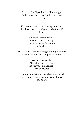So today I will pledge, I will not forget, I will remember those lost in the crime, the rest.

I love our country, our history, our land, I will support it, pledge to it, die for it, if I can.

> We must wear the colors, we must say the pledge, we must never forget 911 or the dead.

That day was an awakening a pulling together, Americans now can conquer whatever!

> We now are awake! After dormant for years, let's say the pledge, let's cry our tears!

I stand proud with my hand over my heart, Will you join my now? and we will never fall apart!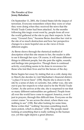## *The Paradox of Zero*  **Jenny Rabaduex**

On September 11, 2001, the United States felt the impact of terrorism. Everyone remembers where they were or what they were doing when they received the news that the World Trade Center had been attacked. As the months following this tragic event went by, people from all over the world gathered at the site to pay their respects. In her essay "Ground Zero," Suzanne Berne describes her visit to the site of so much destruction and how her perspective changes to a more hopeful one as she views it from different angles.

As Berne shows through the rhetorical method of description what this site means to her, the reader is able to see it through her eyes. Of course, it will mean different things to different people, but she puts the sights, sounds, and feelings into perspective. Though there is continual activity, everything seems to be done in reverence for those who lost their lives and for the heroes of the day.

Berne begins her essay by stating that on a cold, damp day in March she decides to visit Manhattan's financial district, "a place I'd never been" (158). Maybe she is drawn to the site by a sense of duty or curiosity, but, either way, she sets out to pay her respects to what used to be the World Trade Center. As she arrives at the site, she is surprised to see that so many different nationalities are gathered. People from all over the world have come to support America, even if just in prayers, through this difficult time. Everyone on the corner cranes "to see across the street, where there was nothing to see" (158). But after looking for some time, Berne writes that "'nothing' becomes something much more potent, which is absence" (158). The people stand looking at something that is really nothing to the human eye, yet this sight depicts a great absence.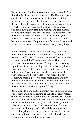Berne declares, "to the out-of-towner, ground zero looks at first simply like a construction site" (159). There is hope in construction sites; a sense of curiosity and expectation is prevalent among these sites. However, as she looks closer, Berne realizes this vision is really emptiness. As she takes everything in, she sees other buildings with boarded windows, firefighters standing around, and ambulances waiting at the top of the pit. And then, "Suddenly there is the enormous cross made of two rustic girders" (159). Finally, she observes St. Paul's Chapel – a place that has become a memorial. Hanging from a fence are flowers and poems, pictures and teddy bears, and many, many flags.

Berne states that she heard an old man say, "'I watched those towers being built. I saw this place when they weren't there'" (159). Now, the man stands looking at the same place, and the Towers are not there. This is the paradox of the whole situation. Though there is nothing of significance to see, everything that is seen is of significance. Everyone turns to their family and friends saying, "it's unbelievable," yet they turn back to the site unsatisfied with that remark. Berne writes, "They wanted to say something more expressive, more meaningful. But it *is*  unbelievable, to stare at so much devastation, and know it for devastation, and yet recognize that it does not look like the devastation one has imagined" (159).

Berne plans to stand on the platform near St. Paul's to get a better view and understanding of the site. So she proceeds to find the cheerfully painted kiosk to get a ticket. Though it is only noon, the next available viewing is at 4 p.m. While she waits for her time to visit, she finds a nearby deli that advertises "a view of the World Trade Center from its second floor dinning area" (160). While eating her lunch and looking down into the pit, she is entranced by what she sees. Suddenly, she notices the firefighter's honor guard gathering along the ramp. Berne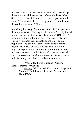realizes "that someone's remains were being carried up the ramp toward the open door of an ambulance" (160). She is moved to a state of reverence as people around her stand. "For a moment, everything paused. Then the day flowed back into itself" (160).

In writing this essay, Berne shows that life does go on and the emptiness will fill up again. She states, "And by the act of our visiting […] that space fills up again" (160-161). As people visit the sight to pay their respects, satisfy their curiosity, or show their patriotism, the site is again populated. The people of this country have to move beyond the hatred of those who attacked and band together to pursue the common goal of rebuilding. Berne realizes that even though this place known as "ground zero" represents so much emptiness and despair, it also reflects strength and hope for a better tomorrow.

Work Cited Berne, Suzanne. "Ground Zero." Patterns for College

> Writing. Ed. Laurie G. Kirszner and Stephen R. Mandell. 9<sup>th</sup> ed. Boston: Bedford / St. Martin's, 2004. 158-161.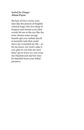#### *Suited for Danger*  **Alison Payne**

the fear of love covers your skin like the poison of brightly colored frogs who live deep in tropical rain forests your false words hit me in the eye like the toxic stream some savage lizards spit you radiate deceit in harmful rads that could leave me wounded for life – so let me know, for God's sake if you plan to run into me next time I go to town so I can wear my Hazmat suit and for once be shielded from your lethal presence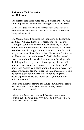#### *A Marine's Final Inspection* **Joel Robinson**

The Marine stood and faced his *God*, which must always come to pass. His boots were shining bright as his brass.

*God* said, "*Step forward, now Marine, how shall I deal with you*? *Have you always turned the other cheek? To my church have you been true?"* 

The Marine sighed, squared his shoulders, and answered his *God.* "No *Lord* I have not, because those of us who carry guns can't always be saints. At times my talk was tough, sometimes violence was my only hope, because this world so awfully rough. Though at times I trembled with fear, other times I brought that fear! Please *God* forgive me for I have wept my sinful tears." "*God*", the Marine said, "as for your church; I worked most of your Sundays, when the bills got too steep. I never took a penny that wasn't mine or earned, and never passed a cry for help. *Lord*, I know I don't deserve a place among the people here. They never wanted me around, except to calm their fears. If you do have a place for me here, it need not be so grand. I never expected or had too much, but if you don't then I will understand."

There was a silence around the Kingdom where the saints had often trod. The Marine waited silently for the judgment from his *God*.

*"Step forward Marine," God* said, *"you have worn your burdens well! You just walk peacefully on my streets son. You have done your time in hell."*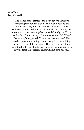#### *War-Torn*  **Troy Crowell**

The leader of the armies shall I be with shock troops marching through the blood soaked land beyond the nation's capitol, with glee in heart, admiring chaos' righteous hand. To dominate the world I do con-fide, that anyone who tries resisting shall most definitely die. To run and hide is futile, since you're almost sure to fail. What? Something's happened! Now what have we here? The soldiers now are running scared, away from something which they nor I do not know. This thing 'tis beast nor man, but light I fear that hath my armies running scared, to say the least. This scalding heat which burns my soul.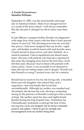## *A Painful Remembrance* **Shantina Williams**

September 11, 2001, was the most horrific and tragic day in American history. Many lives changed forever as a result of the terror attack. I will always remember this day because it changed my life in more ways than one.

In late 2000,my youngest brother Ronald was diagnosed with stage four-colon cancer with less than a forty percent chance of survival. This shocking news tore my soul into tiny pieces. I had never imagined that my twenty –eightyear –old brother would be faced with such horrific news. I found myself in deep sorrow and utter disbelief. As a medical assistant, I had sympathized and shared many heart –felt tears with patients who had also experienced this same life-changing news but for the first time, I truly felt their pain. Because I had worked with patients with colon cancer, I knew it was incurable if not detected in time; this left me feeling empty and in despair. Would God take Ronald so young? I prayed every day for a miracle.

Ronald had so much to live for, his loving wife, a beautiful three-year-old daughter who adored him, and a supportive, close knit family that loved him unconditionally. Although my mother was numbed and devastated, she became his rock, she knew remaining strong (in the presence of Ronald) would give him a sense of hope. My mother spent her days and nights beside Ronald during his long hospital stays. Sometimes his Chemotherapy treatments would get the best of him, leaving him weak and fatigued, but he always remained positive and upbeat. I think he got his strength and encouragement from my mother being there.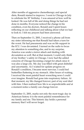After months of aggressive chemotherapy and special diets, Ronald started to improve. I went to Chicago in July to celebrate his  $30<sup>th</sup>$  birthday. I was amazed at how well he looked. He was full of life and doing things he had not done in months. Everyone noticed the change in his condition, even his doctors. Ronald and I spent hours reflecting on our childhood and talking about what we had to look to. I felt my prayers had been answered.

Then on September 11, 2001, I received a phone call from my sister informing me that Ronald had taken a turn for the worst. He had pneumonia and was on life support in the ICU. I was devastated. I turned on the radio to focus my attention to something else, and to my surprise, America was under a terror attack and dealing with devastation as well. But at that moment, I could only think of my brother 's safety in Chicago. I now had the added concerns of Chicago becoming a target for attack since it was also a large city. My day was filled with great disbelief and uncertainty. As I waited for update progress on Ronald's condition, I became more nervous. I could feel butterflies fluttering in my stomach. After hours of waiting, I received the most painful heart wrenching news I could ever imagine. Ronald had gone into respiratory failure. At that moment, my life changed forever; part of my soul died with him. I then realized how life is so unpredictable and at a moment notice a family can change forever.

September 11, 2001, marks not only the most tragic day in American history it is the most painful remembrance for my family and me. This historic day holds a personal memory that I will never forget.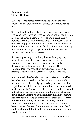# *Guardian Angel*  **Tiffany Holloway**

My fondest memories of my childhood were the times spent with my grandmother. I adored everything about her.

She had beautiful long, black, curly hair and hazel eyes; everyone says I have her eyes. Although she stayed outside most of the time, digging up weeds and planting new flowers, her nails looked professionally manicured I liked to rub the top part of her nails to feel the natural ridges on them, and wanted my nails to feel like that when I grew up. She never used fingernail polish on them, because the strong smell made her nauseated.

She loved growing and selling flowers, bringing people from allover to see her; people came from Alabama, Florida, even Texas, just to get some of her pretty flowers. I loved helping her with them, too. The National Daylily Association gave her recognition by naming a purple, her favorite color, daylily after her.

She trimmed a hoe handle down to my size so I could help her when she worked in the flowerbeds. I would walk to her house and help her dig up weeds, plant flowers, pick vegetables out of the garden, or anything else she wanted me to help with. As we diligently worked together, I would notice how angelic she looked when the sunlight beamed down on her delicate and pale skin leaving a glow around her bent body. Loving every minute of those times, I miss them so much. I only lived a pasture away from her, so I could walk to her house anytime I wanted and did not have to get on the road. I went to see her every day that I could and wished that I could have moved there, but mom would not allow it.

After Maw-Maw's diagnosis of ovarian cancer, we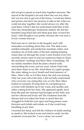did not get to spend as much time together anymore. She stayed in the hospital a lot and when she was not, there she was too sick to get out of the house. I wrote her letters and poems and drew her pictures to take to her when we could not play together; she would always cry after she read them, which I did not understand until later in life. Once her chemotherapy treatments started, she lost her beautiful long black hair and short gray hair covered her head. I still thought it was pretty, because she was such a lovely woman anyway.

Dad took me to visit her in the hospital, and I still remember everything about that visit. The dark room smelled antiseptic and medicinal; machines, tubes, and monitors set on both sides of the bed, making beeping noises that cut through the room's eerie tension every few seconds; nurses came in and out numerous times to check the machines' readings and Maw-Maw is breathing. All my family members lined the plain colored walls surrounding the room, and my aunt, whom I had only seen three times in my life, stood there in a quiet spongelike state, taking in every breath and fond memory of Maw- Maw's life, as if it they knew the end was nearing. Only ten years old at the time, I did not fully understand why everyone was acting this way or why Maw-Maw looked so remotely ill lying there in a hospital gown, covered with blankets up to her waist, and needles and tubes coming from her arms. She appeared agedly tired from the pain her sickness had brought on her body and not her vibrant and lively self The weakness from the disease had over taken her body so much that she struggled to hold her eyes open and long pauses came between each inhale and exhale, as if she would stop breathing at any time.

I touched her hand, and felt the coldness of death starting to sneak in. She looked at me and tried to smile, but the weakness overcame her. I was a stone, too scared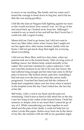to move or say anything. She faintly said my name and I found the courage to bend down to hug her, and it hit me that she was saying goodbye.

I felt like the dam at Niagara Falls fighting against my tears so she would not know how scared I was. As I let go of her and stood back up, I looked away from her. Although I wanted to say so much to her and tell her that I loved her, I could not; still, I regret it today.

Mama told me I had to go home, but I did not want to leave my Maw-Maw alone when I knew that I might not see her again alive; after mama insisted, daddy took me home. I did not get much sleep that night, for worrying about everything.

I did not see Maw-Maw until two days later, when my parents took me to the funeral home. After six long years of battling cancer, her lifeless body rested eternally in her casket. Her soul had vanished to a place unknown. I did not want this moment in my life to be real, but I knew she had suffered long enough and her time had come to fill her place in heaven. She looked serene, pain free, something I had not seen over the last year when the cancer really progressed. I touched her hand and felt the coldness of death had completely taken over her from when it started in the hospital room the day I had visited her, the last day of her life.

Still today, with a void in my heart and the pain not restraining, I find it just as hard to talk about her as the day I saw her lying in her casket at the funeral home. I hold her memory so deeply close to my heart that I cannot let go of any of it. While remembering our time together in such detail and the pain of her death, I could not help but cry when I wrote this paper. Stolen away from me in the dawn of my life, she remains with me still as my guardian angel.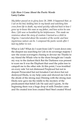#### *Life: How I Came About the Poetic Words* **Larry Carlos**

*My father passed on to glory June 28, 2000. It happened that, as I sat on his bed, holding him in my hands and watching him cross from life to death, my mind quickly reflected back to how I grew up to know this man as my father, and how active he was then. I felt now so humbled by his helplessness. This made me reminisce about the story of creation I learned as a child in Nigeria. I marveled about the wonders of the world, and how mysterious nature can be. I composed the poetic words after I laid my father to rest.* 

What is Life? What do I want from Life? I went down into the deepest sea searching for Life in its sovereign majesty I saw the ocean scavengers chasing to devour me Thanks to my friend the Whale who to the shore brought me I made my way to the darkest thick But the Darkness was present to scare me It was the Elephant that used the palm tree to catapult me to the other side At this point, I was troubled on every side Yet not distressed Perplexed but not in despair Persecuted but not forsaken Cast down but not destroyed Eledu, to my help came and showed me Life in the abode of the strong man Dinning with the strong man Eledu now gave me the riddle to the mystery of the predicament that befell Life He said and I quote, At the beginning there was a huge drop of milk Dondari came and He created iron Iron created Steel Steel created Wood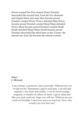Wood created Fire Fire created Water Dondari descended the second time Took the five elements and shaped them into man Man became proud Dondari created Worry Worry defeated Man Worry became proud Dondari created Sleep Sleep defeated Worry Sleep became proud Dondari created Death Death defeated Sleep When Death became proud Dondari descended the third time as the 'Gueno' the eternal one And Life became the eternal wonder

#### *Why?*  **J. McLeod**

I am a home, a protector, and a provider. Without me you would not be. Sometimes I grieve and pine. I am tall and majestic; I am short and stubby. I can be burnt orange, magenta, or shades of yellow at times. I grow older just like you, just count my rings you will see. Without me you could not breathe. I need you and you need me. Now why would you ever hurt me?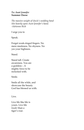#### *To: Aunt Jennifer*  **Summer Deese**

*The massive weight of Uncle's wedding band Sits heavily upon Aunt Jennifer's hand. -Adrienne Rich* 

I urge you to

Speak.

Forget weak-ringed fingers. No mere meekness. No shyness. No yes your highness.

Stand.

Stand tall. Create awareness. You are a goddess – A mighty force to be reckoned with.

Smile.

Smile all the while, and showcase the beauty God has blessed us with.

Live.

Live life like life is yours. Live life *louder* than a tiger's roar.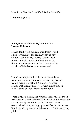Live. Live. Live life. Live life. Like life. Like life.

Is yours? Is yours?

# *A Kingdom as Wide as My Imagination* **Yvonne Robinson**

Please don't wake me from this dream world I don't wanna face the ordinary day to day Oh what did you say? Sorry, I didn't mean not to say hey I'm just in my own place A thousand miles away A realm in my head As vivid as all the books you've ever read

There's a vampire in his old mansion And a cat from another dimension A pirate seeking treasure from a magic stronghold A dragon for every season that unfolds Princesses with minds of their own A band of aliens from the unknown

There is action, horror, and romance Perhaps someday I'll be brave and take the chance Write this all down Share with you my beauty realm If in typing I do not become overwhelmed Like painting a picture I feel but do not see But if a hardcopy is ever born Be sure, you're invited to my jubilee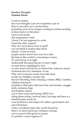## *Random Thoughts* **Summer Deese**

I wish to inspire the exact thoughts I am not completely sure of they're not solid, yet I can feel them pounding away at my tongue wanting to release needing to find resolve in this place I have it all inside this masterpiece I hide I know I'm not supposed to write I beat the odds- I guess? Why do I never know how to spell? I do not think it matters that much Hearts- I want to touch people need to know how true love feels the hate in this world is consuming so many It's not fair for us to fight underneath this great big sky of starry light. no man knows anything for sure so why must everyone try to defend the unknown seems irrational and very immature -to me Why can't everyone awake from this sleep awake to a brighter, sunnier day flowers blooming, birds chirping, crickets, BBQ's, fireflies, children playing in sprinklers, little girls with short hair and freckles, snaggle teeth, mommas hugs and bedtime stories. you're first crush and finding TRUE love riding those rickety carnival rides, hot dogs and beer at a baseball game, pride for your hometown and respect for others, good deeds and and Christmas! what a wonderful place this world should be there's so much good just waiting to emerge evil is scared of the good we posses it's positive verses negative 27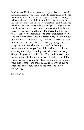head to head I believe in a place where peace is the norm and home is all around you I may be called a dreamer for my hopes but I'd rather imagine love than despair I'd rather be wrong with a smile on my face I'd rather be blind than to see so much hate relax your fist and embrace your brother stands beside you with his arms open wide just let yourself go … find your space and then give it away! this world is ours, equally Together, we can evolve into Anything! Life is too incredible a gift to waste! the colors- just think of all these wonderful colorsand rhythm rhythm takes my breath away People- unique in their own special way Why can't we just be okay- with that? I am a dreamer I love it … clouds, flying, sunshine, salty ocean waves, shooting stars and fresh cut grass, receiving mail when you're a child and making phone calls to your best pal, leaning on God's shoulder to cry … Simple-the pleasures of this life Why can't everyone just pause and see it? it's so much easier than living with the chaos peace is a wonderful place feel the warmth of it on your skin it makes me smile such a great way to live at such little cost Allow yourself the chance to know everything.

It's worth it.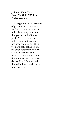## *Judging Giant Hats*  **Carol Canfield 2007 Best Poetry Winner**

We are giant hats with scraps of paper written on inside. And if I draw from you an ugly piece I may conclude that you are full of faulty pride. You too may draw a failed exam and so assume my loyalty defective. Then we have both collected one for error because the other scraps were ne'er by us inspected. But if we learn to draw in turn and not be too demanding, We may find that with time we will have understanding.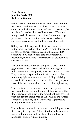#### *Train Station*  **Jennifer Parris 2007 Best Prose Winner**

Sitting nestled in the shadows near the center of town, it had been abandoned for over thirty years. The railroad company, which owned the abandoned train station, had no plans for it other than to allow it to rot. We found refuge inside the ominous structure from our teenage pressures as the turpentine timbers absorbed our conversations and gave off a distinguishable smell.

Sitting just off the square, the train station sat on the edge of the historical section of town. On its rustic foundation sat several cement markers bearing the date of 1889. Surrounded by broken train cars and overgrown vegetation, the building was protected by creature-like shadows at night.

The only entrance to the building was a crack in the gigantic bay doors on one side of the building and all light that entered was quickly absorbed by the darkness. Tiny particles, suspended in mid air, danced in the remaining light as we entered the building. Walking across the floor, our shoes crunched bird droppings and gave off hollow sounds that echoed off the high ceiling.

The light from the windows touched our eyes as the room narrowed led us into another part of the structure. The floor, bathed in the glow of the street light, was covered with old papers dating back to the 1960s. In the far right comer was a hallway lit by the warped light passing through the barred windows.

The hallway contained wooden lockers holding various items forgotten by time. Adjacent to the hallway was a room containing only a lone chair illumined by the moonlight and glowing as if alive.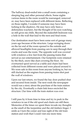The hallway dead-ended into a small room containing a sleeping bag and other personal effects. Some nights various items in the room would be rearranged, removed or, may have been replaced with different items. Reflecting on those nights, I wonder if someone may have been lurking in the shadows. He may have only been a defenseless wayfarer, but the thought of his eyes watching us still gives me chills. Beyond the makeshift bedroom was a hole in the wall that lead to the next and final room.

Our destination must have been some sort of garage many years ago because of the structure. Large swinging doors on the far end of the room opened to the outside and allowed headlights from passing cars to seep through their cracks and scan the room. The opposite wall was covered with windows a few feet from the passing trains that served as our entertainment. Our footprints were retained by the thick, snow-like dust covering the floor. An overturned spool served as a table and chairs had been collected from different rooms and were placed around it. We were safe in this room from anyone looking in, but we still ducked as the engines from passing trains shot past the wall of windows.

Upon our last return, we found the bay door pushed shut and secured from inside. The next week the newspaper would run a story about the purchase of the train station by the city. Eventually a chain link fence encircled the structure. Our time with the train station was over.

I still pass by it from time to time and try to peek in the windows to see if the old spool and chairs are still there. Memories of the times we spent there invade my thoughts as the smell of the turpentine and the old timbers linger. I smile as I turn the comer and lose sight of the old train station and wish that I could visit one more time.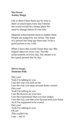# *My Dream* **Ansley Shipp**

Life is short I hear them say So why is there so much hate every day? Seems the world would be a better place We need to change before it's too late.

Material achievements seem to matter most. People are judged by our riches, The heart of a person has long ago been lost; To be a good person is my wish.

When I leave this world I hope they say: She helped others in every way. Not the achievements of every day, My dream is to be a good person day by day.

## *Mirror Image* **Dameian Polk**

Hey you! Yeah I'm talking to you I see the way you look at me I see the way you stare around those corners Hey you! Yeah I'm talking to you I see the frowns on your face I see the expressions that you face makes I see the way you bite your lip and nod your head As if I'm supposed to be scared Hey you! Yeah I'm talking to you Oh no! This couldn't be I see …me 32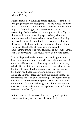# *Love Seems So Small* **Merlie P. Alley**

Perched naked on the ledge of this jejune life, I could see dangling beneath my feet glimpses of the places I had run playing hide-and-seek with myself. How easy it was there to pause far too long to pity the souvenirs of my sojourning, the hoofed scars upon my spirit. So softly did the warmth of your dawning approach my side that I remembered what it was to have been a flower. Turning my face to draw life from the light in your eyes, I heard the rushing of a thousand wings signaling that my flight was near. The depths of me sensed the distant approaching thunder of you. The arms of my soul reached out at your passing— Always, I knew you would come.

Your valleys and peaks beneath my hand, against my heart, are frontiers new to me with each abandonment of ourselves; Every shudder breaking the veil, ushering my rebirth. Seeds of life are sown from the hands, the sinew, the brow-breaths; But the nourishment is in the eyes, in the knowing, the language without words. How delicately your life force unwinds the tangled threads of my essence. Maestro and the willing Marionette dance to harmonies never before whispered. And I hear the music, the rushing of a thousand wings and I know my flight is near. With eyes wide open, the depths of me ache for the resonant thunder of you.

In the maze of hollow traces burrowed by unforgotten worm-words, my yet unborn self seems lost.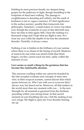Holding its most precious breath, my deepest being gropes for the pathways to light, though stumbling in the footprints of dead men walking. The passage to weightlessness is daunting and solitary, but the smell of freshness is not so vague a memory. If I find significance in the surface journey, parable then transcends into philosophy. Somehow, a small notion of victory has taken root, though the avalanche of scars in this labyrinth may bury me time to time again; Still, I hear the rushing of a thousand wings and I hope that my flight is near. So I close my eyes while the depths of me fear the imminent thunder. Painfully, it always comes.

Nothing of me is hidden in the brilliance of your sunrise where there is no shame in the baring of myself. Shadows of used-to-be and what-was stretch forth their black fingers, yet they cannot reach me here, safely within the nearness of you.

#### **Love seems so small a thing for the greatness that has become this indefinable absolute.**

This universe swelling within me cannot be branded by the trite accepted wisdoms and concepts of mere men who, in their soupcon acumen, cannot discern that which passes between us. Who I am with you is everyone that I always was, but dared not be. Moreover, all that matters in the world more than any moment with you…. Is the next Strength for all moments is garnered from the rhythmic pounding within your strong frame. In that sacred moment of your breathing into me, I felt the rushing of my own wings. My flight is upon me-Your thunder bearing me up.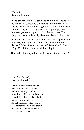# *The Cell*  **Robert Clemente**

A weightless chunk of plastic and micro-metal inside (we do not know) clipped to ear or flipped to mouth—colors, styles, shapes, sizes-all having nothing to do with hearing sounds at all, just the sights of sounds perhaps; the carrier of messages more important than the messages. The shopping list is replaced by the menu, but nothing to eat.

Birthdays and sizes lost in memory but inside plastic, not to worry, interruptions will produce information on demand. What time is the meeting? Remember? When? Why? Check the menu, but still nothing to eat …

Honey, I'm looking at the counter; what kind of lettuce?

# *The "Lie" in Belief*  **Lauren Shumate**

Beauty in the depths Of your never-ending soul Can never melt the freezing Of a heart turned so cold Your words are so smooth They just cut like a knife Making scars across my heart And all across my life I want to break free Spread my wings and fly But I find hidden in belief There always is a lie.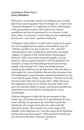# *Equality at What Price?*  **Jenny Rabaduex**

What price would this country be willing to pay in order that it may reach equality? Kurt Vonnegut, Jr.'s short story "Harrison Bergeron" is a depiction of what could happen if the government is given full control over human population and never questioned by its citizens. In this story, there is a dystopic world where no one understands that he can – and must – question authority.

Vonnegut's story tells of a world where everyone is equal. No one is judged by how smart or beautiful he may be. "All this equality was due to the  $211^{\circ}$ ,  $212^{\circ}$ , and  $213^{\circ}$ Amendments to the Constitution, and to the unceasing vigilance of agents of the United States Handicapper General" (192). Due to this enforced equality, not one person is able to express himself to his full potential. For example, George and Hazel Bergeron are just average people with average lives. They are sitting at home watching the ballerinas on the television when the show is interrupted by a news bulletin. Because the announcer has his handicapper (a government- monitored headset) on, he is not able to speak clearly. Hazel states, "He tried to do the best he could with what God gave him" (194). However, this statement could not be further from the truth. God gave the man the ability to speak, and the government has taken that away from him by forcing him to wear a handicapper.

Harrison Bergeron is taken by the government at the tender age of fourteen because he is questioning the laws; most critically, he questions the laws that require the handicaps. He escapes from jail and rushes into the television studio. Once inside and on the stage in the middle of the ballerinas, he "tore the straps of his handicap harness like wet tissue paper" (195) and all his handicaps are thrown to the floor. Harrison decides to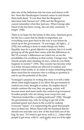take one of the ballerinas into his arms and dances with her. Soon the Handicapper General comes in and shoots them both dead. "It was then that the Bergerons' television tube burned out" (196) and the Bergerons cannot remember what they just saw. When George asks Hazel if she has been crying, she can only comment, "I forget" (196).

There is no hope for the future in this story. Harrison gives his life for a cause that he thinks is important, yet everything soon goes back to the way it was before he stood up to the government. "It was tragic, all right […]" (192), but nothing is done to make things any better. Equality may be a good objective to pursue, but is it worth giving up all the good that comes with the differences in life? If a society's differences are ruled out, so are the possibilities for excellence in that society. George says, "the minute people start cheating on laws, what do you think happens to society?" (193). This country has become what it is today because minds are allowed to explore and question what reality is. In order to make something better, there must first be someone who is willing to question it and to see the potential of the idea.

Vonnegut's purpose in writing this story is to tell a fable about what might happen if we allow the government to control our every thought or action. He implies that if trends continue the way they are going, society will become more and more under the control of government. It makes people who are strong wear scrap-iron and "Harrison looked like a walking junkyard" (194). Though the government may only be trying to get rid of the potential greed and chaos in the world by making everyone "equal," it is suppressing the good that people have in them too. When Hazel tells her husband that he should rest and take out a few of the lead balls out of his bag, he says, "If I tried to get away with it, […] then other people'd get away with it—and pretty soon we'd be right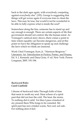back to the dark ages again, with everybody competing against everybody else" (193). George is suggesting that things will get worse again if everyone tries to cheat the laws. This may be true, but would it not be wonderful to be able to fully express what is inside the soul?

Somewhere along the line, someone has to stand up and say enough is enough. There are certain aspects of life that government should not control, like the human mind. As Vonnegut's satirical story shows, there comes a point in time where equality can become dangerous, and at this point we have the obligation to speak up and challenge the laws which we think are immoral.

Work Cited Vonnegut, Kurt, Jr. "Harrison Bergeron." Literature: An Introduction to Fiction, Poetry, and Drama**.** Ed. X. J. Kennedy and Dana Gioia. 4<sup>th</sup> ed. New York: Person Longman, 2005. 191-196.

#### *Backward Rides*  **Carol Canfield**

I dream of backward rides Through folds of time that seem to sooth my soul. Hear echoes of a spirit past that did not fear the cold, The heat, the storm, To nothing did it yield. Yet then I pass a kindred of my present there Who longs to be consoled. My spirit past has not a trinket warm, Not cool, not safe. For nothing does it feel.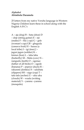# *Alphabet* **Abimbola Daramola**

25 letters from my native Yoruba language in Western Nigeria Children learn these in school along with the English A B C's

A – aja (dog) B – bata (shoe) D – doje (string guitar) E – ejo (snake) F – fila ( cap) G – gele (woman's cap) GB – gbaguda (cassava fruit) H – hausa (a local tribe) I – igi (tree) J – jagun jagun (soldier) K – kiniun (lion) L – laba laba (butterfly) M – Malu (cow) N – nangudu (teeth) O – ogonao (father of all birds) O – ogede (banana) P – pepeye (duck) R – rakunmi (donkey) S – salubata (slippers) SH – sago (cup) T – tafa tafa (archer) U – uku uku (clouds) W – waala (writing material) Y – yanmu –yanmu (mosquito)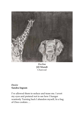

*Decline* **Jill Mundt**  Charcoal

*Desire* **Sandra Ingram** 

I've allowed them to seduce and tease me. I avert my eyes and pretend not to see how I hunger wantonly Turning back I abandon myself, In a bag of Oreo cookies….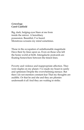#### *Genealogy*  **Carol Canfield**

Big, dark, bulging eyes Stare at me from inside the mirror. A hereditary possession. Beautiful, I've heard. Monstrous screams my mind sometimes.

Those in the occupation of unfathomable magnitude Have their by-lines upon us. Even on those who left the home world at birth. Intergalactic postcards are floating Somewhere between the tiniest lines.

Poverty and violence and inappropriate affection. They were staples on my planet. I've made my boast in sanity and optimism Despite the overwhelming menace. But then I do not mention constant fear That my thoughts are audible. Or that he and she and they are phonies underneath it all And they are waiting to strike.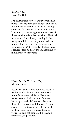# *Sudden Echo*  **Carol Canfield**

I had hearts and flowers but everyone had those… not the cliffs and bridges and a soul to follow as naturally as the leaves change color and fall from trees in autumn. For so long at first it lashed against the windows in the storm-impatient like decisions. The final residue a sad and lonely droning in the background (loss not fully mourned), too impotent for bitterness forever stuck at resignation… Until recently I looked into a stranger's face and saw the loudest echo of it In almost twenty years.

# *There Shall Be No Other Way*  **Michael Boggs**

Because of pain; we do not hide. Because we know it's all about mine. Because it reminds us we're "all Man." Because we're in control, all the time. Because a left, a right, and a left renown. Because those directions are well known. Because easily the road is over there. Because of pride, predominately aware. Because we're lost and not despaired. Because a stereotype, ill-prepared.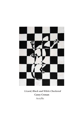

*Lizard, Black and White Checkered*  **Casey Cronan** Acryllic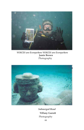

*VOICES are Everywhere VOICES are Everywhere* **Jamie Brown**  Photography



*Submerged Head*  **Tiffany Garrett**  Photography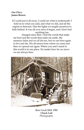# *One Place*  **James Brown**

If I could put it all away, I could see what is underneath. I hold on to what you said, and what we did, and all the regrets in between. Dim the lights we taught ourselves to hide behind. It was all over since it began, and I don't feel anything has

changed since then. I feel the words that make me hurt and the words that make me smile. My memory fades and we all die too, but we are born again to live and die. We all return from where we came and then we spread out again. Where you and I stand in this world is in one place. No matter how far we move we are always here.



*Bear Creek Mill, 1992*  **Chuck Lott**  Photography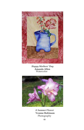

*Happy Mothers' Day*  **Amanda Allen**  Watercolor



*A Summer Flower*  **Yvonne Robinson**  Photography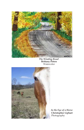

*The Winding Road* **Brittany Peters**  Watercolor



*In the Eye of a Horse* **Christopher Liphart**  Photography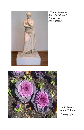

*William Wetmore Storey's "Medea"*  **Penny Jiles**  Photography



*God's Nature*  **Brenda Tillman**  Photography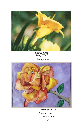

*Golden Glow*  **Tracy Ward**

Photography



*Smell the Rose*  **Shevon Rowell**  Watercolor 49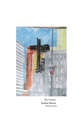

*The Names*  **Justine Harris**  Watercolor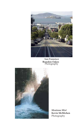

*San Fransisco*  **Brandon Oakes**  Photography



*Montana Mist*  **Kevin McMichen**  Photography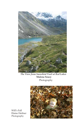

*The View from Snowbird Trail at Red Lakes*  **Malena Soucy**  Photography



Will's Fall Elaine Heifner Photography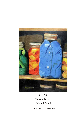

*Pickled*  **Shevon Rowell**  Colored Pencil

**2007 Best Art Winner**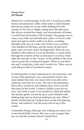# *Perspectives* **Jill Mundt**

Whenever I could manage, I'd be sick. I would go to their house and spend just a little while under a white blanket that always made me sweat, while drifting off to the sounds of The Price is Right coming from the television. She always worked her magic, and miraculously all better, I would head downstairs with Grandpa. The garage was so clean, every little nut and bolt had a place. I'd sit on a tall stool and spin in circles until I was dizzy, watching through wide eyes at a man who I knew was so perfect, who smelled of Old Spice and the motor oil that never quite came out from under his fingernails. When he was finished with whatever it was he did there, I would climb through the window of the car (because I *was* Daisy Duke after all) and ride on the "hump" in the middle of the front seat to go get the evening newspaper. When we got back, she and I would play cards and I would win. There was no such thing as time at Grandma's house.

In kindergarten we had a playhouse in our classroom, and on top of the playhouse was a dreamland. It had a ten story ladder that only very lucky kids were allowed to climb up, and only two a day. The top of the playhouse had a fence around it, and nothing more, but it was the best place in the world. I waited a million years for my turn, and when it came I was terrified to climb the ladder. My teacher gently coaxed me up it, and I climbed with shaking legs and my heart pounding in my ears. When I finally reached the top I looked down at the kids playing below, and realized *I* was the lucky kid on top of the world.

I remember being a little girl, and walking one street over to my friend Kelly's house. She was a year younger than me, we met the summer before I started first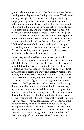grade. I always wanted to go to her house, because she had a swing set, a playroom, and a tiny baby sister. We'd spend eternity swinging to the treetops and singing made up songs, jumping on beanbag chairs, and eating peanut butter crackers- mine always had lids. I bet her mom made a thousand of them during those years. She would always offer something else, and we would always tell her "No thanks, just peanut butter crackers." They had to be Jif on Ritz, it never tasted right otherwise. I would ask to go over there, and my mother would remind me that dinner was in an hour, and I would tell her that was okay, and skip off. We lived close enough that she could stand on our porch and yell my name six hours later when dinner was done. I'd hear her yell my name and go running home to eat, promising Kelly I would come back the next day.

I was always fascinated by creatures. As I grew a little taller the world expanded to include the woods nearby and a field the big people rode their dirt bikes on after we were in bed. I'd lead my fearless band of Mighty Creature Hunters, expertly equipped with stolen Tupperware (that my Mom never seemed to miss) and goldfish nets into the woods, which had trees so tall you couldn't see the top. It always seemed so dark, but somehow we managed to see. We never did quite figure out how to get the tiny garner snake into the Tupperware bowl, or how to hatch the egg that momma bird must have left behind in that nest way up there, or quite what to feed the dozens of tadpoles that inhabited my Barbie swimming pool. Entire summers were devoted to chasing tiny toads around a field so big we were scared when we got to the other side that we might not find our way home, for if we could not see my house, we were obviously many miles away from it. When we finally managed our ten mile hike across that two acre field and back into my house, my Mom would meet me with a stern face and scold me for being an hour late, even though I'd swear we only left ten minutes before. I remember the knowing 55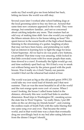smile my Dad would give me from behind her back, letting me know the world was still okay.

Several years later I worked after school bathing dogs at the local grooming salon to buy my first car. Around that same time new creatures appeared in the world. They were strange, but somehow familiar...and not so concerned about catching tadpoles any more. That creature had an odd way of making time shift- how else would you explain the fifteen minute drive to his house taking an hour? We spent forever in the sound booth of the high school theater, listening to the strumming of a guitar, laughing at jokes that may not have been funny, and pretending we really had an interest in learning how to light the stage for Jesus Christ Superstar. All we had to do was push a few buttons, no problem! That time warp was amazing, while locked in that little crowded room with five more people than seats, time slowed to a crawl. Eventually the lights would go out, and time suddenly sped back up. We'd find a way to sneak out without being seen by the prison guard with the push broom. Was it really six o'clock? Surely our parents wouldn't find out the rehearsal had ended at four.

The world was just as big as the old pastel green 1978 LTD could take my over sized load of friends and I that next summer. That car was the most beautiful in all of the world and the rust orange spots were cool- of course. When I wasn't looking, the house I called home faded in the distance, obviously this new world had links to another dimension. Road trips to Washington DC, sneaking across the state line to West Virginia- "no really Mom, I put 200 miles on the car driving my friends home!"- and cruising the endless roads of South Park with the radio blaring that one same song over and over. That became the entire world, and in that world time was a chain that eventually drug me unwillingly back to my bed after eating leftovers from the dinner I forgot I should  $\frac{56}{ }$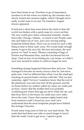have been home to eat. Nowhere to go of importance, nowhere to be but where we ended up, the summer days slowly turned into summer nights, which I thought never really would came to an end. Yet somehow August always appeared.

It took just a short time more before the chain to that old world was broken with a quick snap of a worn out link. The new world grew times a thousand instantly. Austin, Knoxville, Chicago, Atlanta... so much to see! People came into and faded out of view, just a few leaving lasting footprints behind them. There was no room for such a silly thing as time in those early years. We would make enough money to get to the next city, the next adventure, the next person we \*had\* to meet. Dinners consisting of bags of Doritos and Mountain Dew, and the Greyhound bus for sleep. I had no fear of not finding my way home, so I didn't once turn around to realize it could no longer be seen.

Something strange happened between then and now. Time managed to become an enemy always close by, but never quite seen. I feel no different than when I was the small girl snacking on peanut butter crackers with lids. That *was* just yesterday, right? Yet now I somehow know that the roof of the playhouse was only four feet off the ground, and the six hours before my mother yelled my name *was* really just an hour. I know that the mother bird was probably wondering just where that egg ran off to while she ate, and that hour drive to his house *was* really just a few miles down the road. I know that summer nights lasted only from sundown until I closed my eyes, and I now understand that the more footprints people leave behind the stronger I become.

It took many long years to find my way back home. The roads that lead there now take so much longer to travel than the roads I took to get away. I spend a great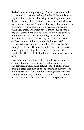deal of time and energy trying to find shorter ways back, and when I do manage I ask my Mother if she minds if we stay for dinner, instead of hearing her yell my name from the porch. In my absence, time seems to have found its way back into my Grandma's house. I try to stay long enough to play cards or ride along to get the evening newspaper while I am there. The world now is much smaller than it had ever seemed. It's only as wide as I can stand to drive, but in the rare moment when I am given a choice, it instantly shrinks to the size of my own backyard. The endless summer nights have morphed into a brief acknowledgment of how hot and humid it is as I rush to someplace I'm late. The creatures that fascinate me most now I regret not being able to stop and chase as often as I would like. They are little, loud, messy, and so very easy to love.

Every now and then I will catch from the corner of my eye an oddly familiar site of a small child holding my stolen Tupperware, laughing and getting soaked, all the while trying to catch tadpoles; or of one soaring to the very tops of the tallest trees, held down by nothing but the chains of a swing. When I do, I can't help but smile as I remember ... for just a second ... as it's all the time I can spare now.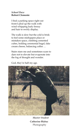# *School Daze*  **Robert Clemente**

I find a parking space right out front-I plod up the walk with wind whipping leafy frenzy and hair to swirly display.

The walk is slow but the cold is brisk to feel some mishappen place or mistaken space, climbing cemented cubes, holding ceremonial bagel, fake cream cheese, balancing coffee …

Stairs stare me and sometimes scare to dare not to elevate but evaporate into the fog of thought and wonder.

God, they're half my age.



*Master Student*  **Catherine Blabac**  Photography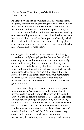#### *Meteor Crater: Time, Space, and the Unknown* **Diane Greene**

As I stood on the rim of Barringer Crater, 35 miles east of Flagstaff, Arizona, my awareness grew, and I realized that time means nothing and time can mean everything. This natural wonder brought together the aspect of time, space, and the unknown. I felt my minute existence threatened by our never-ending race against time. I imagined myself as a bewildered dinosaur before the impact confused by which direction lead to safety, and I envisioned suffering plants, scorched and vaporized by the intense heat given off as the meteor screamed towards them.

Growing up I branded myself as the sister that lovingly abused our family's encyclopedias that overflowed with colorful pictures and information about outer space. My childhood curiosity for earth science and the beyond beckoned me to study briefly about meteors. Astronomers relish in digging through the realms of deep dark space to find powerful wonders for where it all began. I looked forward to my daily emails from numerous astrological websites such as www.space.com, describing new discoveries and adventures from the millions of years of galactic activity.

I received an exciting advertisement about a self-preserved meteor crater in Arizona and instantly made plans to investigate this desert wonder. The very next weekend I arrived at the entrance to Meteor Crater; the sky appeared an exotic shade of turquoise crowned by silvery, wispy clouds resembling a Native American dream catcher. The endless landscape around my Saturn vehicle made me ponder if astronomers viewing the planet Mars observed terrain like this on a "good day." Barren areas of rusty colored soil contained boulders and layered rock haphazardly tossed alongside the winding road. Leading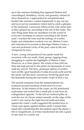up to the entrance building that appeared lifeless and camouflaged, shrubbery, cactus, and greenery refused to show themselves. I approached its unsophisticated, bunker-like entrance, waited impatiently to pay my fee, and received my mandatory ticket stub to catch a glimpse of the landmark. I anxiously followed the cold, metal rails as they guided me, ascending to the rim of the crater. The only thing faster than my heartbeat was the sound of everyone's footsteps in unison crunching in the desert sand. I reached the brim and the feelings of wonder, fright, and admiration washed over me. Meteor Crater, also introduced to tourists as Barringer Meteor Crater, a vast and profound cavity of the past, came to life and whispered its story.

A new, young, inexperienced tour guide made his excursion with our small, chatty group, tagging along struggling to explain the highlights of Meteor Crater. However, at a closer glance, the winds of time told me their tale kept private in the plains for thousands of years until my arrival. The fiery, grotesque sphere of molten rock swiftly sped hundreds of miles towards earth and hit the sandy soil like Jack's enormous, terrifying giant and the beanstalk during the last frantic swipe of Jack's axe.

The ancient remnants from the metamorphosis lay scattered around hundreds of feet down in every direction. At the bottom of the crater, an old abandoned exploration site looked like a small pile of ash from an extinguished cigarette. To the left an oxidized pillar of rock the size of a house rested uneasily on the edge of the crater's rim, and to the right heaved earth and stone against the crater's walls suggested the needed force to create such agony against mother earth. I sensed time stand still, considering this devastation upon the plains. I felt so insignificant, as if time transformed me into a grain of star dust in a cosmic sea.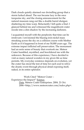Dark clouds quietly alarmed our dwindling group that a storm lurked ahead. The sun became lazy in the once turquoise sky, and the closing announcement for the natural museum rang out like a double barrel shotgun shattering my time warp. Reluctantly I left quite a find. I glanced behind me and witnessed the magnificent crater recede into a dim shadow by the increasing darkness.

I acquainted myself with the perplexity that time can be irrelevant. I envisioned the blazing iron-nickel mass streaking across the sky on a collision course with Mother Earth as if it happened in front of me 50,000 years ago. The extreme impact inflicted self preservation. The monument had an eerie sense of beauty that overtook me. Meteor Crater humbled, mystified, and bewildered me with the unknown. Because of this experience, I have decided to visit as many natural wonders in my given life as time permits. My everyday existence depends on evolution, yet the crater has stood the test of time for each soul to relive the drastic event through physical detail exposing itself, naked, in its entire splendor.

Work Cited "Meteor Crater – Experience the Impact!" Science Data. Meteor Crater Enterprises. 2004. 21 Oct. 2006 <http://www.meteorcrater.com/index.php>.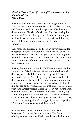#### *Identity Theft: A True Life Story of Transgression at Big Mama's Kitchen* **Alison Payne**

 I have to kill some time in the small Georgia town of Waco where I am waiting to meet with a real estate client, so I decide to eat lunch at what appears to be the only diner in town, Big Mama's Kitchen. The dirt parking lot makes my SUV jitter like gizzards in a boiler, forcing me to slow down and take my time. I predict that taking my time will be an important part of the Big Mama experience.

 As I reach for the front door, I read an advertisement for the gospel music of Reverend Al and Passion Lewis. I'd like to be named "Passion." People would know right up front what I stand for, not just who I am. Like some Native American names. If your name was "Two-Faced," I'd at least know to watch out.

 Inside, the room is painted bright blue with even brighter yellow trim. Fake bricks are painted around edges and doorways to make it look old, but they needn't have bothered. It's old. The pale green plates look just like the three sectioned plastic plates we ate lunch on in grammar school forty years ago, and the slat-back chairs look just like our old auditorium seats. The wall is mostly decorated with faded Pepsi posters. Those I get. I'm not so sure about the lone Titanic sign. Does it mean if there's a flood, Big Mama will go down with her diner? Will the waitresses stand arm in arm, their aprons glowing like celestial robes, and sing "Amazing Grace" in tragically sweet a cappella? Would the flies sink, or would they swim?

 I am seated at one of two remaining tables. This is a busy spot. Of course, there is no menu. The day's offerings are written on a blackboard beside the kitchen.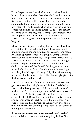Today's specials are fried chicken, meat loaf, and neck bones. I'll get a vegetable plate, though. It reminds me of home, when my folks grew summer gardens and we ate like this every day: butterbeans, okra, corn, collards simmered all morning in fatback. I am just about to begin my order with fried squash when a burly guy in a hair net comes out from the back and erases it. I guess the squash was extra good that day, but I'll just get okra instead. The rolls of paper towels instead of flimsy napkins on the tables tell me the grease will be plentiful, so the food will be good.

 Once my order is placed and my bucket-o-sweet tea has arrived, I try to take in the ambiance. Four cops in full uniform are sucking the air out of one corner of the room. At the far opposite corner sit a group of young African American males and females, eating quietly. Beside me is a table that must represent three generations, disturbingly close in pasty-faced resemblance. The grandmother is chiding the hefty toddler for still drinking from a bottle instead of a "big boy" cup. Granddaddy is threatening to take Baby Boy's "sugar tit" away. Baby Boy is threatening to scream bloody murder. His mother knowingly gives him the bottle, and I sigh in relief.

 There's a smattering of men and women in professional garb, some on their cell phones while their fried chicken sits at their elbow growing cold. I wonder what sort of business in Waco would require one to "dress for success." I don't think it's the tiny post office or the feed 'n seed across the street. Down the road, a defunct sandwich shop and vacant barbeque shack speak to the proliferation of burger joints on the other side of the freeway. I wonder if they will ever be the undoing of Big Mama's? She seems to holding her own so far.

 I also note some farmers in worn overalls and baseball caps of all descriptions, worn the way they believe God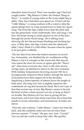intended, brim forward. Then I see another sign I had not caught earlier: "Big Mama's Coffee: the Hottest Thing in Waco." A couple of young males in the room might beg to differ. They have had their eyes glued on, I'll just call her "Little Mama," a young waitress with a waist so slim the apron strings have to wrap around twice to keep her apron snug. The front bib dips a little lower than the pink tank top she generously wears underneath. Nice and snug. I see how she keeps trying to sneak glances at one of the boys through her poofy blond bangs. He is talking loud, showing off, but she just keeps blushing and ducking her eyes. A little later, she slips a ticket onto his checkered table. I don't think it's a bill either, because when he opens it, he just grins wolfishly.

 The fact that it has been the hottest summer on record has, fortunately, not disabled the air conditioner at Big Mama's, but it is enough on the warm side that anyone who opens the door for access or egress gets the "Hurry up!" stare from everyone else. Now as the door slowly swings open, all attention is drawn to the next customer. With midday temperatures hovering around 100, he is incongruously draped in black leather, though the sleeves of his jacket have been ripped off at the shoulder, displaying a dense tapestry of tattoos down the length of both arms. His long wiry hair is slightly tamed by the confederate do-rag tied around his head. But it isn't any of that that worries me; in fact, Big Mama's seems to be just the kind of place where anyone can eat, so long as there's no trouble. But Motorcycle Guy here is giving off too much heat, and I don't just mean road heat, but a heat that smells of sweat, adrenaline, and testosterone. It makes me shiver.

 Then the cute waitress, "Little Mama," comes out from the back, and she suddenly looks nervous for more than obvious reasons. "Crystal," the guy says. Just, "Crystal." You can tell she wants to keep him calm. She quickly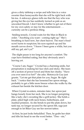gives a dirty tabletop a swipe and tells him in a voice sweeter than honeysuckle that she will be right back with his tea. A sideways glance tells me that the boy who was giving her the eye has suddenly turned as pale as an uncooked biscuit. I don't know whether to get out of there for my own safety or stay for the entertainment . . . curiosity can be a perilous thing.

 Smiling tensely, Crystal waits for the Man in Black to order. "Anything you want – coming right up." She's breathing so hard now, her chest heaves. The man's fixed scowl turns to suspicion; his eyes squinch up and his mouth curves down. "I know I been gone a while, but you still my gal, ain't ya?"

 The slight pause is too long for anyone's comfort. The cops have finished eating, but they obviously aren't leaving yet.

 "Course I am, Sugar." Crystal has a charming smile, but perspiration is making her face slick and sticky. She tears off a section of power towel and blots her cheeks. "Have you ever seen it so hot?" she asks. Motorcycle Guy just grunts. "Let me get that plate for you, Sugar. Be right back." I notice that she has loosened her apron strings, probably to get a little more breeze when she walks by the exhaust fan beside the kitchen door.

 When Crystal re-enters, minutes later, her apron just hangs loosely from her neck. She is no longer perspiring like a lady; she's sweating like a grill jockey. She holds a plate, piled high with neck bones, butterbeans, and mashed potatoes. As she bends to put the plate down, her tank top, no longer secured by the apron bib, sags just enough to let Biker Guy see her newest tattoo.

 At first, he just looks befuddled. Then, he grabs her shirt and tilts his head to see the word better. "Don – nie,"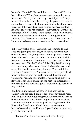he reads. "Donnie?" He's still thinking. "Donnie! Who the hell is Donnie?" The place goes so quiet you could hear a bean drop. The cops are watching. Crystal just can't help herself. She looks straight at the boy she passed the note to earlier. Now it seems like hours ago. She looks at him with pure fear. Biker Guy turns and follows her eyes until he finds the answer to his question – the putative "Donnie" of her tattoo. Now "Donnie" looks scared, looks like he wants to be any place else on earth rather than Big Mama's Kitchen. "No," he says in a real low voice. "No, t'aint me." He's hunched over, arms crossed over his narrow chest.

 Biker Guy walks over. "Stand up," he commands. The cops are getting up now too, their hands hovering near their sidearms. The younger boy stands up. He is wearing the uniform of the tire store where he works, the kind that has your name embroidered over your chest pocket. The nametag reads "Bobby Tucker." Biker Guy is still staring at it uncertainly when a cop takes him by either arm and says, "It's time to move along, buddy." You can tell the guy doesn't want to go. You can also tell the cops really do mean for him to go. They walk him out the door and watch until his chopper rumbles away, spitting gravel in its wake. They loiter outside in the heat ten, fifteen more minutes, to make sure he's gone. Finally they go back in to pay their tab.

 Waiting in line behind the boys in blue are "Bobby Tucker" and his friend. I'm not sure what happened here, but I'm glad it didn't get dangerous. Once the cops are out the door, the two boys start to laugh all over themselves. Tucker is patting his nametag, just laughing himself silly. Finally his friend says, "Good thing you wore your brother's overall today, Donnie. If you'd a had a clean 'un, you'd be dead meat."

"For real," his friend answers, but he is already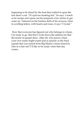beginning to be dazed by the heat that rushed in upon the last diner's exit. "It's just too freaking hot," he says. I watch as he unzips and opens out his jumpsuit a few inches to get some air. Tattooed on the hairless field of his scrawny chest in scrolling letters, with hearts and roses, it says "Crystal."

 Now that everyone has figured out who belongs to whom, I'm ready to go. But first I write down the address for that Reverend Al gospel show. After all, who knows when your own name might expire just as quickly as the fried squash that was erased from Big Mama's menu board by Fate in a hair net? I'd like to be ready when that day comes.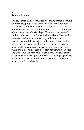# *Van*  **Robert Clemente**

The blue truck slid across sands not caring for job nor time. Children sleeping awake to smells of cheese sandwiches and juice to fill the tanks. Horses whinny in the wheeled box knowing their tack will track the team. The humming of the tires sings of busier days. Glistening chrome and smiling lights adorn its frame, inside and out. The swelling lessens as each one leaves its belly-relief and rest. It wonders when it drinks again and is sure of more miles rolling out its caring, snuffing out its fearing of twisted metal and broken glass. The beach water cools hot feet while sand creeps into carpets. Farm dirt stains clean rugs and walls, but the barn holds work done. The blue truck resists the backwards pull of the tow. Standing high on the platform as it leaves, the chrome face blinks a wink, and water drips from a headlight.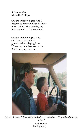## *A Grown Man* **Michelle Phillips**

Out the window I gaze And I become so amazed It's so hard for me to believe That one day my little boy will be A grown man.

Out the window I gaze And still I am so amazed My grandchildren playing I see Where my little boy used to be But is now, a grown man.



*Pasture Lesson I"I was Mario Andretti whenGreat Granddaddy let me drive."*

**Eddie Gore**  Photography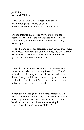## *Joe Robby* **Kevin McMichen**

"MAY DAY MAY DAY!" I heard him say. It was not long until we had crashed, Everything that was around me was smashed.

The sad thing is that no one knows where we are, Because base camp is too far. I looked and seen that I'm all alone, Even though everyone was here, they were all gone.

I looked at the pilot, my best friend John, it was evident he was dead. I looked for the gun man, Bob, and saw that he had no head. I crawled from the wreck and onto the ground, Again I took a look around.

Then all at once, bullets began flying at me fast And I started to wonder just how long I would last. Then I felt a sharp pain in my arm, and blood started to run down. Slowly I fell down, down to the ground. Then I started to feel really cold And I didn't know if I could hold, For I was so very, very cold.

A thought ran though my mind that I'm now a MIA And no one knows where I lay. Then an angel came to me to say "I'm here to take you away" So I took her hand and left my body, I remember looking back and saying "now I'm no longer Joe Robby."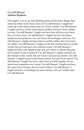# *I'm Still Blessed* **Antrina Stephens**

One night I was in my bed thinking about all the finer things that seem nice that I don't have, but yet I'm still blessed. I might not wake up in the finest house, but yet I have a home. I'm still blessed. I might not have all the name brand clothes, but yet I have clothes to wear. I'm still blessed. I might not have hair all down my back, but yet I have hair. I'm still blessed. I might not have the fancy manicure and pedicure, but yet I have all ten fingers and toes. I'm still blessed. I might not have had an earthly father, but yet God is my father. I'm still blessed. I might not be the smartest person in the world, but yet God gave me common sense. I'm still blessed. I might not drive the tightest ride, but yet I drive a vehicle that gets me to point A and to point B. I'm still blessed. I might not have all the friends in the world, but yet I have God and my family. I'm still blessed. I might not go to the finest school, but yet I'm in school. I'm still blessed. I might not have a job, but God still supplies all my needs and sometimes my wants. I'm still blessed. I might not have the man of my dreams, but yet God is there. I'm still blessed. I might not have everything my heart desires, but yet I realize that I'm still blessed.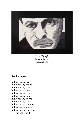

*Deep Thought* **Shevon Rowell**  Pen and Ink

#### *?*  **Sandra Ingram**

In how many hearts In how many heads In how many hands In how many lives In how many rooms In how many houses In how many towns In how many cities In how many counties In how many states In how many countries How in the world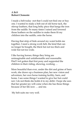# *A Belt* **Robert Clemente**

I made a belt today -not that I could not find one or buy one. I wanted to make a belt out of old horse tack, the stirrup leathers, that long belty piece that hangs the iron from the saddle. So many times I raised and lowered those leathers on the saddles to make them fit my children into the saddle, onto the horse.

Having that strip of hide around my waist holds me together, I need a strong work belt, the kind that can no longer be bought, the thick but not too thick and wide but not too wide.

I like having horses; things they bring are unimaginable and unfathomable and reasonable. Had I not gotten that first pony and supported the children in their riding, showing, working …

More beautiful than ever, under the dirt and grime of barn work, she draws up a business plan, her new vision and adventure, her own horse training facility, barn, and home. I see some things I wanted to give her but could not. I do not think she holds it to my debit. I hope she sees that her greater joy will come when she has those things because of her life now … and me.

My belt suits me very well.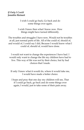# *If Only I Could* **Jennifer Reinert**

I wish I could go back, Go back and do some things over again.

I wish I knew then what I know now. How things might have turned differently.

The troubles and struggles I have now, Would not be troubles at all, just normal parts of life. All of the could of, should of, and would of, I could say I did, Because I would know what I could of, should of, would have done.

I would not want to change the experiences I have had. I would only want to change the life my children have had to live. This way of life was not by their choice, but by bad choices that I made.

If only I knew what it would do, where it would take me, I would have made a better choice.

I hope and pray that one day my children will see, That if I could go back, go back and do some things over again, I would, just to take some of their pain away.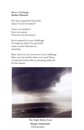#### *Boss's Challenge*  **Ruthie Wheeler**

My boss requested Does this mean 'I'm to be tested?"

I have no rhythm I have no reason However tis the season

So in respond to your challenge I'll make an effort To put forth some words That has no meaning

Boss, here it is my answer to your challenge May you not twitch when you read These words put forth with no meaning After all tis the season



*The Night Before Ivan*  **Margie Satterfield**  Photography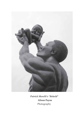

*Patrick Morelli's "Behold"* **Alison Payne**  Photography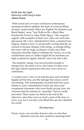#### *Walk into the Light: Interview with Larry Carlos* **Alison Payne**

 With recent news of some well-known entertainers spouting invidious epithets, the topic of racial profiling remains controversial. When my English 191 students read Brent Staples' essay "Just Walk on By: a Black Man Ponders his Power to Alter Public Space," they respond eagerly with examples of their own. After one such class discussion, Mr. Larry Adetokunbol Carlos, a student from Nigeria, shared a story so emotionally riveting that the air around us became charged with energy, as though lifting the room with its surge, as players would carry their champion shoulder high to celebrate his victory, or as the outstretched arms of a father might lift his newborn son high overhead to signify: behold, unto God, this is life.

 The students' energy was one powerful enough to change lives. Its name is love, and where it exists, even the ugly hatred expressed in this story bows down in submission.

 I wanted Larry's story to be told because such incidents happen all the time, and the damage that ensues can be devastating. This subsequently recorded interview pays tribute to Larry Adetokunbol Carlos, but also to the exceptional classmates who were finally giving Larry the welcome that his entrance to "paradise" had so cruelly perverted. Their names are listed at the end of the interview, since they were as much a part of the story as Larry was, for it was they who lifted him up and validated his worth.

#### *The Interview*

Payne: Larry, you recently shared a story in class that shocked everyone and created an amazing bond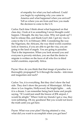of empathy for what you had suffered. Could you begin by explaining why you came to America and what happened when you arrived? Tell us where you are from and how you made the decision to come to the U.S.

Carlos: Each time I think about what happened on that class day, I look at it as something I never thought could happen. I thought, the day has come. Why not speak up? I had to release this, and thank God I did. I got my visa to come to the U.S. in February 2002. Considering the way the Nigerians, the Africans, the way third world countries look at America, if you are able to get the visa, you are going to the land of angels. You are going to paradise. That is the impression. When you look around you and everyone is poverty-stricken, you see that the desire to migrate is written on the faces of all who live in third world countries, especially Africa.

Payne: How do you think that that image of paradise is so thoroughly propagated? Is it through the media – television and magazines and such?

Carlos: Yes, it is everything. But they don't show the bad side. They don't show the poverty of Mississippi. All they show is Los Angeles, Hollywood, the bright lights. . . ooh, it is a dream. I can remember being back home and people saying, "If I could just smell the breeze of JFK airport, I would be alright." When I told my friends I got a visa, they were jubilating. Oh my goodness! But you would not know the truth until you got here.

Payne: What was your plan? Having attained a visa, what did you want to accomplish when you got here?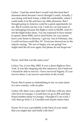Carlos: I had the mind that I would visit this land that I dreamed about because I never thought I could. Actually, I was doing well back home, a little bit comfortable, where I could make it in life and have my little pleasures. But I thought going to America could be a great opportunity for me. But it would cost me a lot. I sold my car and some of my belongings because the flight is close to \$2,000. And it's not the flight ticket alone. You are expected to have money to spend, about \$500, and to send home, for you cannot leave your home in disarray. I got my visa in February, but I could not leave until May 10<sup>th</sup>. Everyone showed me to the airport, saying, "We are so happy you are going! You might start life all over again, but please do not forget me."

Payne: And that was the same year?

Carlos: Yes, it was May 2002. It was a direct flight to New York. It was like stepping into the unknown, but I believed I should be able to survive. I have survived Nigeria. If I can survive there, I can survive anywhere in the world.

Payne: But it seems so intimidating to me, to come alone to a new country, with no plan.

Carlos: Oh, there was a plan that I will stay with my niece who lives in Georgia. I would have to go to JFK and then board another plane to Georgia. I thought if I can work, I will, then go back 3, 4, 5 months and maybe return later.

Payne: So it was a possibility in the back of your mind that you might stay and build a life here?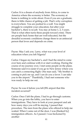Carlos: It is a dream of anybody from Africa, to come to America where the economy is better. The economy at home is nothing to write about. Even if you are a graduate, there is little chance of getting a job. That's why corruption is everywhere. You are pushed to a wall. You might struggle to complete your education, but after your bachelor's, there is no job. You stay at home 1, 2, 3 years. That is what often turns these people toward crime. There are people back home that are well-educated, but the dreadful economic conditions change them to an antisocial person that loves and depends on crime.

Payne: May I ask you. Larry, what was your level of education when you left Nigeria?

Carlos: I began my bachelor's, and I had the mind to come over here and continue with it or start working. During the course of my journey over, I met some people on the plane. Someone said it is easier if you go to New Jersey where you can catch a connecting flight. One man said, "My brother is coming to pick me up, and I can do you a favor. I can take you to the airport." Thankfully, I had met someone who was ready to help me out.

Payne: So was it before you left JFK airport that this incident occurred?

Carlos: Once I left the plane, I had to go through customs. When you go into the lobby, you have to enter immigrations. They have to look at your passport and ask how many days you will be staying. I passed that procedure. The men from the plane who offered to help me waited. When I came out of the door, I was [flanked by] immigration officers. As I passed. I was beckoned by another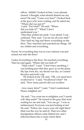officer. Ahhhk! I looked at him. I was already cleared. I thought, what should disturb me any more? He said, "Come over here!" I looked back at the guys who were waiting, and he asked me, "Where did you put it?"

 I said, "Put what?" He said, "Where did you hide it?" "What? I don't understand you."

 Then they pulled me aside. I was afraid. I was confused. They said, "Let me see all your stuff." They held my bag and threw everything on the floor. They searched and searched my things. All my clothes and everything.

Payne: So everything that was in your suitcase was just tossed out onto the floor?

Carlos: Everything to the floor. He touched everything. Then he said again, "Where did you hide it?"

> "Hide what?" I said. "I don't have anything. I was holding juice that they gave us on the plane. My lips were dry, my throat was dry, so I raised the juice and took a sip.

 He looked at me. He said, "OK, you must have swallowed it." I said, "Swallowed what?" He said, "How many parcels did you swallow

– how many kilos?" I said, "I don't understand. Please enlighten me."

 He said, "You want me to enlighten you? I surely will. Step aside!" He turned to the guys that were waiting for me and said, "You can go." I was so embarrassed. Everyone was just looking at me! He said, "Follow me. Leave your *shit* right there" (that was the way he said it). Then two other immigration officers came behind me, and I followed them into a room where there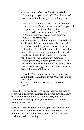about ten other officers and again he asked, "How many did you swallow?" "Swallow what? I don't understand what you are talking about."

 He said, "I'm going to scan you. I'm going to do an x-ray of you, and as soon as I do, you will spend the rest of your life right here." I said, "What are you looking for?" He said,

"You don't know?" I said, "I don't know what?" The rest of the

men were jeering, talking, laughing. I looked right and I looked left, and there was nobody to help me. I started shedding tears because I was so confused and frightened. They took me to another room with two other immigration officers, and I was stripped naked, stripped of everything, naked, and he was touching my stomach, touching my head, touching everywhere. Then they said for me to bend over. In my mind, I said, I don't do these things! I don't do this! They said, "You will never tell the truth."

 I said, "You did not see anything in my bag. You did not see anything in me. Why did you do this to me?"

 He said, "You have to sign a paper to be xrayed."

Payne: Before you go on, let's clarify that you are in this room, with these very intimidating agents, stripped down to your most vulnerable self, defenseless, not even clothing to cover or protect you. What could you be feeling at this time?

Carlos: I was so frightened. I thought of the movies I've seen. My cousin, who came to America before me, had oriented me: don't follow bad gangs; don't let anyone push you to do something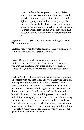wrong; if the police stop you, you stop. Raise up your hands because you are a black man. He told me when you are stopped at night and see police lights stopping you at a dark place, just go at a slow pace toward a light. Go where there is light because you are in peril – anything might happen. As these words came to me. I was shivering. The air conditioning was on, but I was sweating with fear.

Payne: Larry, did you know they were looking for drugs? Did you understand?

Carlos: I did. When they stopped me, I finally understood. But it did not come straight away to me.

Payne: Do you think because you a good and lawabiding man, these references to drugs were so alien to you that the questions they were asking you made no sense? That you had no context in which to frame them?

Carlos: Yes, I was thinking at the beginning maybe he had a problem with my visa. Then I regretted sipping the juice. It was just too much for me to believe. After a while I looked around at my clothes scattered all over the floor. It was then that I started shedding tears, and I summed up the courage to ask, "You know what? Just let me go back home!" (I am sorry. I am shedding tears now when I reflect it. ) I was trying to check his name, but his name tag was missing. I could see the clip where it had been before. The first time he stopped me, he had a badge, but when he took me to the other room, he had no badge on. I told him, "I bought a round trip ticket. I can go back home. Let me go back to my country. I would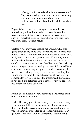rather go back than take all this embarrassment." They were tossing me around, turning me, using one hand to turn me around and around. I couldn't say nothing. I couldn't find the words to say.

Payne: When you asked that agent if you could just immediately return home, what did you think, after having imagined this place as a paradise? Was home such an imperfect place, but one where at the very least you would feel safe and secure?

Carlos: While they were tossing me around, what was going through my mind was I never had felt like this back home. I was OK at home. It was then it came to mind like a flash, like a hallucination, seeing myself at home, in my little abode, where I was living in safety and my little comfort. It was at that moment I realized that the positivity in me changed. I was not seeing the beautiful United States any more. I was seeing an ugly side and I was seeing the hatred in everybody. I might come out safe, but they had ruined the welcome. In my culture, you always know if someone loves you if you see the welcome. If the welcome is not good, it's better for you to leave, for if you proceed, you might not come out alive.

Payne: So, traditionally, how someone is welcomed is an omen of what is to come?

Carlos: [In every part of my country] the welcome is very, very important. If you are a stranger without welcome, then you should leave, or something evil can happen to you. So that was what I felt as I pleaded with him, "Can I go home?" He said, "Put on your pants." Hammering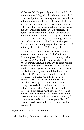all the words! "Do you only speak *bull shit*? Don't you understand English?" I understood that I had no status. I put on my clothing and was taken back to the room where others agents were. I looked all around the room, and there was no other person with my color. They were laughing and jeering at me. I pleaded once more, "Please, just let me go home." Then the room was quiet. They realized what it meant for someone who is just arriving to say I want to leave. They began moving out of the room. One officer said, "We'll be tracking you. Pick up your stuff and go – go!" I was so nervous I left my jacket, with the \$500 in my pocket.

 I went to the lobby. I didn't feel like coming into the country any more. I looked at it as a different place. Then a guy came running back to me, yelling, "You should come back here!" I briefly thought, should I drop my bag and run for it? But he had a gun. I went back as he yelled at me that I left my jacket and threw it back at me. I checked my money and found that I now had only \$200. \$300 was gone, taken from me. I looked around. What would I do? So at a concrete curb outside I sat, and oh, I started shedding tears again. That was the reason for the crying. I looked all around, and there was nobody for me. A 35, 36 year old man shedding tears! But a cab driver must have been watching me. He came over and asked where I was going. He sounded a little bit like an African. He said, ' I can take you to New Jersey for your flight." I was so scared, I couldn't even tell him what had happened.

Payne: Did you tell anyone about this?

Carlos: Nothing. To be sincere with you, I have not even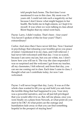told people back home. The first time I ever mentioned it was in this class. My mom was 75 years old. I could not risk such a negativity on her because I don't know what might happen to her health. She holds me in high esteem, so I kept it to myself. It was when we were talking in class about Brent Staples that my mind went back.

Payne: Larry, I didn't realize. That's been – four years! You haven't spoken of this for four years? That's extraordinary!

Carlos: And since then I have never felt free. Now I learned in psychology that releasing your troubles gives you peace of mind. I mentioned it in my class, and I felt relieved. I had never felt welcomed until that day. I was so scared, because I am sorry ma'am, but you are white, too. I don't know how you will see it. The way the class responded I was so surprised and the welcome I got from my teacher, all my classmates, I felt relieved, and from that day, you can see me coming out in class. Each time I came to class, I thought what can I contribute today, for now I am welcomed.

Payne: I will never forget that day, Larry. It was as if the whole class wanted to lift you up and hold you safe from the terrible thing that had happened to you. Your story was a powerful narrative, and we all just felt privileged that you would offer it to us. But, tell me please, once you were finally on a plane from Newark, at what point do you start to be OK? At what point can the outrage and humiliation fade away so that you can find something hopeful in the prospect of staying here?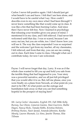Carlos: I never felt positive again. I felt I should just get what benefit I can and leave. I felt that I am here alone, and I would have to be careful what I say. How could I describe even to my own niece what I had been through? I never knew something like that would come up in class. It was like a fire that had been burning Carlos: And since then I have never felt free. Now I learned in psychology that releasing your troubles gives you peace of mind. I mentioned it in my class, and I felt relieved. I had never felt welcomed until that day. I was so scared, because I am sorry ma'am, but you are white, too. I don't know how you will see it. The way the class responded I was so surprised and the welcome I got from my teacher, all my classmates, I felt relieved, and from that day, you can see me coming out in class. Each time I came to class, I thought what can I contribute today, for now I am welcomed.

Payne: I will never forget that day, Larry. It was as if the whole class wanted to lift you up and hold you safe from the terrible thing that had happened to you. Your story was a powerful narrative, and we all just felt privileged that you would offer it to us. But, tell me please, once you were finally on a plane from Newark, at what point do you start to be OK? At what point can the outrage and humiliation fade away so that you can find something hopeful in the prospect of staying here?

*Mr. Larry Carlos' classmates, English 191, Fall 2006: Kelly Burney, Sue Chism, Cameron Gaston, Stasi Guerrero, Shellie Hagen, Nancy Hicks, Tamala Hobbs, Kristina Holsten, Brittney Humes, Nasir Javaid, Amanda Johnston, Kanika Mosely, Lauren Shumate, Liz Sims, Janette Thomas, Rita Tillman*